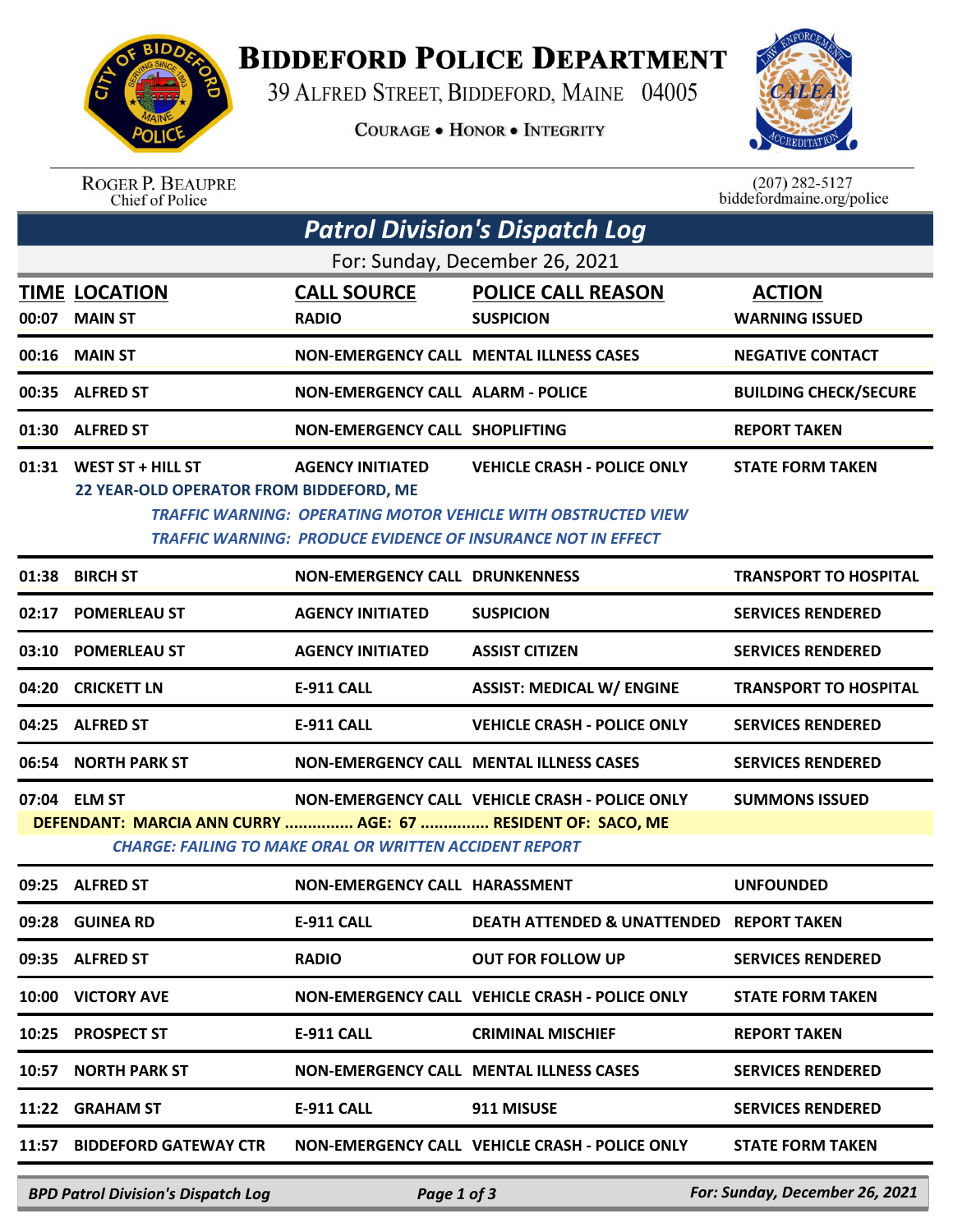

## **BIDDEFORD POLICE DEPARTMENT**

39 ALFRED STREET, BIDDEFORD, MAINE 04005

**COURAGE . HONOR . INTEGRITY** 



ROGER P. BEAUPRE<br>Chief of Police

 $(207)$  282-5127 biddefordmaine.org/police

|                                |                                                                    |                                                                | <b>Patrol Division's Dispatch Log</b>                                                                                                                                             |                                        |  |  |  |  |
|--------------------------------|--------------------------------------------------------------------|----------------------------------------------------------------|-----------------------------------------------------------------------------------------------------------------------------------------------------------------------------------|----------------------------------------|--|--|--|--|
| For: Sunday, December 26, 2021 |                                                                    |                                                                |                                                                                                                                                                                   |                                        |  |  |  |  |
|                                | <b>TIME LOCATION</b><br>00:07 MAIN ST                              | <b>CALL SOURCE</b><br><b>RADIO</b>                             | <b>POLICE CALL REASON</b><br><b>SUSPICION</b>                                                                                                                                     | <b>ACTION</b><br><b>WARNING ISSUED</b> |  |  |  |  |
|                                | 00:16 MAIN ST                                                      |                                                                | <b>NON-EMERGENCY CALL MENTAL ILLNESS CASES</b>                                                                                                                                    | <b>NEGATIVE CONTACT</b>                |  |  |  |  |
|                                | 00:35 ALFRED ST                                                    | <b>NON-EMERGENCY CALL ALARM - POLICE</b>                       |                                                                                                                                                                                   | <b>BUILDING CHECK/SECURE</b>           |  |  |  |  |
|                                | 01:30 ALFRED ST                                                    | NON-EMERGENCY CALL SHOPLIFTING                                 |                                                                                                                                                                                   | <b>REPORT TAKEN</b>                    |  |  |  |  |
|                                | 01:31 WEST ST + HILL ST<br>22 YEAR-OLD OPERATOR FROM BIDDEFORD, ME | <b>AGENCY INITIATED</b>                                        | <b>VEHICLE CRASH - POLICE ONLY</b><br><b>TRAFFIC WARNING: OPERATING MOTOR VEHICLE WITH OBSTRUCTED VIEW</b><br><b>TRAFFIC WARNING: PRODUCE EVIDENCE OF INSURANCE NOT IN EFFECT</b> | <b>STATE FORM TAKEN</b>                |  |  |  |  |
| 01:38                          | <b>BIRCH ST</b>                                                    | <b>NON-EMERGENCY CALL DRUNKENNESS</b>                          |                                                                                                                                                                                   | <b>TRANSPORT TO HOSPITAL</b>           |  |  |  |  |
| 02:17                          | <b>POMERLEAU ST</b>                                                | <b>AGENCY INITIATED</b>                                        | <b>SUSPICION</b>                                                                                                                                                                  | <b>SERVICES RENDERED</b>               |  |  |  |  |
|                                | 03:10 POMERLEAU ST                                                 | <b>AGENCY INITIATED</b>                                        | <b>ASSIST CITIZEN</b>                                                                                                                                                             | <b>SERVICES RENDERED</b>               |  |  |  |  |
| 04:20                          | <b>CRICKETT LN</b>                                                 | <b>E-911 CALL</b>                                              | <b>ASSIST: MEDICAL W/ ENGINE</b>                                                                                                                                                  | <b>TRANSPORT TO HOSPITAL</b>           |  |  |  |  |
|                                | 04:25 ALFRED ST                                                    | <b>E-911 CALL</b>                                              | <b>VEHICLE CRASH - POLICE ONLY</b>                                                                                                                                                | <b>SERVICES RENDERED</b>               |  |  |  |  |
|                                | 06:54 NORTH PARK ST                                                |                                                                | <b>NON-EMERGENCY CALL MENTAL ILLNESS CASES</b>                                                                                                                                    | <b>SERVICES RENDERED</b>               |  |  |  |  |
|                                | 07:04 ELM ST                                                       |                                                                | NON-EMERGENCY CALL VEHICLE CRASH - POLICE ONLY                                                                                                                                    | <b>SUMMONS ISSUED</b>                  |  |  |  |  |
|                                | DEFENDANT: MARCIA ANN CURRY  AGE: 67  RESIDENT OF: SACO, ME        | <b>CHARGE: FAILING TO MAKE ORAL OR WRITTEN ACCIDENT REPORT</b> |                                                                                                                                                                                   |                                        |  |  |  |  |
|                                | 09:25 ALFRED ST                                                    | NON-EMERGENCY CALL HARASSMENT                                  |                                                                                                                                                                                   | <b>UNFOUNDED</b>                       |  |  |  |  |
|                                | 09:28 GUINEA RD                                                    | <b>E-911 CALL</b>                                              | <b>DEATH ATTENDED &amp; UNATTENDED REPORT TAKEN</b>                                                                                                                               |                                        |  |  |  |  |
|                                | 09:35 ALFRED ST                                                    | <b>RADIO</b>                                                   | <b>OUT FOR FOLLOW UP</b>                                                                                                                                                          | <b>SERVICES RENDERED</b>               |  |  |  |  |
|                                | 10:00 VICTORY AVE                                                  |                                                                | NON-EMERGENCY CALL VEHICLE CRASH - POLICE ONLY                                                                                                                                    | <b>STATE FORM TAKEN</b>                |  |  |  |  |
|                                | 10:25 PROSPECT ST                                                  | <b>E-911 CALL</b>                                              | <b>CRIMINAL MISCHIEF</b>                                                                                                                                                          | <b>REPORT TAKEN</b>                    |  |  |  |  |
|                                | 10:57 NORTH PARK ST                                                |                                                                | <b>NON-EMERGENCY CALL MENTAL ILLNESS CASES</b>                                                                                                                                    | <b>SERVICES RENDERED</b>               |  |  |  |  |
|                                | 11:22 GRAHAM ST                                                    | <b>E-911 CALL</b>                                              | 911 MISUSE                                                                                                                                                                        | <b>SERVICES RENDERED</b>               |  |  |  |  |
|                                | 11:57 BIDDEFORD GATEWAY CTR                                        |                                                                | NON-EMERGENCY CALL VEHICLE CRASH - POLICE ONLY                                                                                                                                    | <b>STATE FORM TAKEN</b>                |  |  |  |  |
|                                |                                                                    |                                                                |                                                                                                                                                                                   |                                        |  |  |  |  |

*BPD Patrol Division's Dispatch Log Page 1 of 3 For: Sunday, December 26, 2021*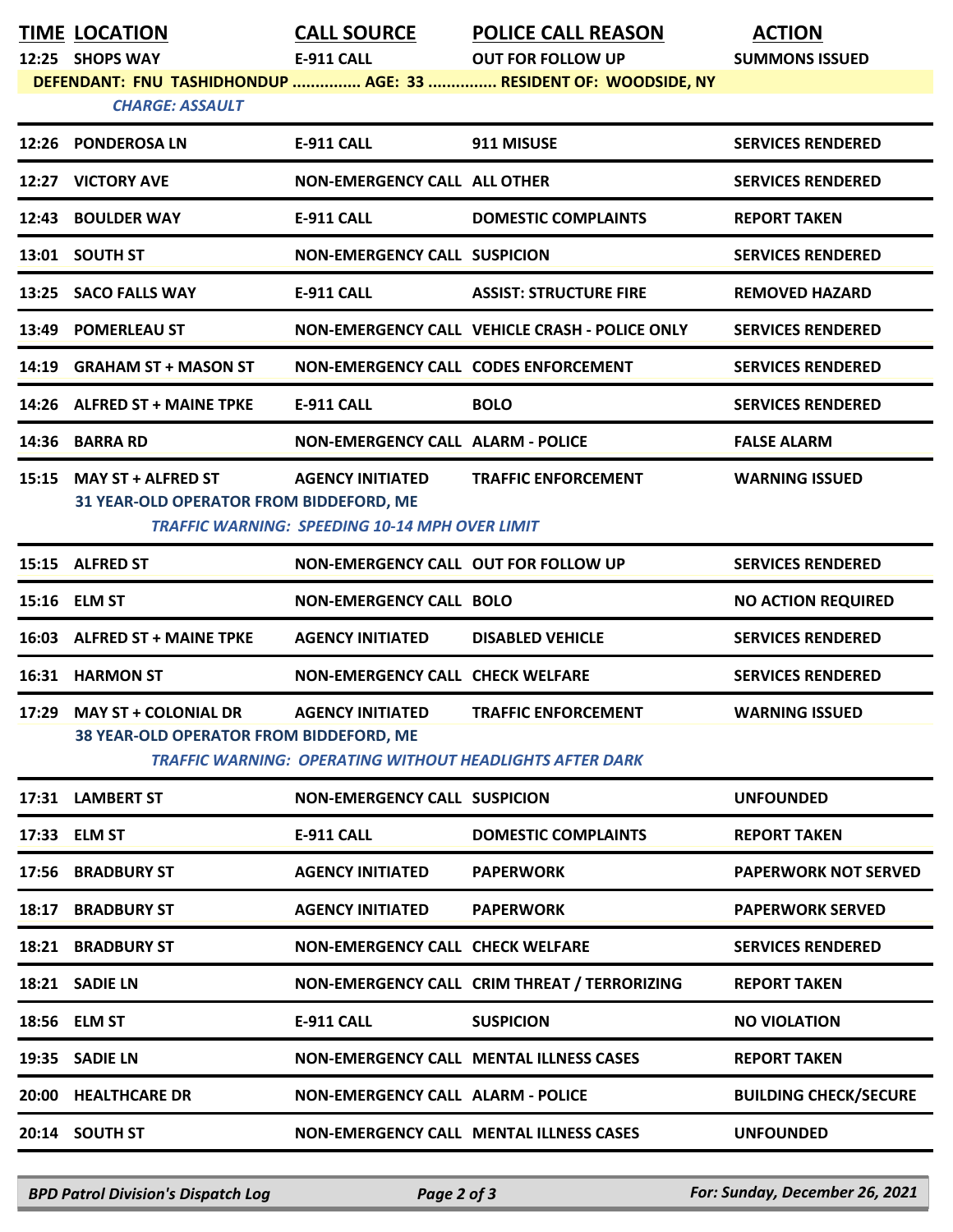| <b>TIME LOCATION</b>                                                  | <b>CALL SOURCE</b>                                                               | <b>POLICE CALL REASON</b>                                                                     | <b>ACTION</b>                |
|-----------------------------------------------------------------------|----------------------------------------------------------------------------------|-----------------------------------------------------------------------------------------------|------------------------------|
| 12:25 SHOPS WAY                                                       | <b>E-911 CALL</b>                                                                | <b>OUT FOR FOLLOW UP</b>                                                                      | <b>SUMMONS ISSUED</b>        |
| <b>CHARGE: ASSAULT</b>                                                |                                                                                  | DEFENDANT: FNU TASHIDHONDUP  AGE: 33  RESIDENT OF: WOODSIDE, NY                               |                              |
| 12:26 PONDEROSA LN                                                    | <b>E-911 CALL</b>                                                                | 911 MISUSE                                                                                    | <b>SERVICES RENDERED</b>     |
| 12:27 VICTORY AVE                                                     | <b>NON-EMERGENCY CALL ALL OTHER</b>                                              |                                                                                               | <b>SERVICES RENDERED</b>     |
| 12:43 BOULDER WAY                                                     | <b>E-911 CALL</b>                                                                | <b>DOMESTIC COMPLAINTS</b>                                                                    | <b>REPORT TAKEN</b>          |
| 13:01 SOUTH ST                                                        | <b>NON-EMERGENCY CALL SUSPICION</b>                                              |                                                                                               | <b>SERVICES RENDERED</b>     |
| 13:25 SACO FALLS WAY                                                  | <b>E-911 CALL</b>                                                                | <b>ASSIST: STRUCTURE FIRE</b>                                                                 | <b>REMOVED HAZARD</b>        |
| 13:49 POMERLEAU ST                                                    |                                                                                  | NON-EMERGENCY CALL VEHICLE CRASH - POLICE ONLY                                                | <b>SERVICES RENDERED</b>     |
| 14:19 GRAHAM ST + MASON ST                                            | NON-EMERGENCY CALL CODES ENFORCEMENT                                             |                                                                                               | <b>SERVICES RENDERED</b>     |
| 14:26 ALFRED ST + MAINE TPKE                                          | <b>E-911 CALL</b>                                                                | <b>BOLO</b>                                                                                   | <b>SERVICES RENDERED</b>     |
| 14:36 BARRA RD                                                        | <b>NON-EMERGENCY CALL ALARM - POLICE</b>                                         |                                                                                               | <b>FALSE ALARM</b>           |
| 15:15 MAY ST + ALFRED ST<br>31 YEAR-OLD OPERATOR FROM BIDDEFORD, ME   | <b>AGENCY INITIATED</b><br><b>TRAFFIC WARNING: SPEEDING 10-14 MPH OVER LIMIT</b> | <b>TRAFFIC ENFORCEMENT</b>                                                                    | <b>WARNING ISSUED</b>        |
| 15:15 ALFRED ST                                                       | NON-EMERGENCY CALL OUT FOR FOLLOW UP                                             |                                                                                               | <b>SERVICES RENDERED</b>     |
| 15:16 ELM ST                                                          | <b>NON-EMERGENCY CALL BOLO</b>                                                   |                                                                                               | <b>NO ACTION REQUIRED</b>    |
| 16:03 ALFRED ST + MAINE TPKE                                          | <b>AGENCY INITIATED</b>                                                          | <b>DISABLED VEHICLE</b>                                                                       | <b>SERVICES RENDERED</b>     |
| 16:31 HARMON ST                                                       | <b>NON-EMERGENCY CALL CHECK WELFARE</b>                                          |                                                                                               | <b>SERVICES RENDERED</b>     |
| 17:29 MAY ST + COLONIAL DR<br>38 YEAR-OLD OPERATOR FROM BIDDEFORD, ME | <b>AGENCY INITIATED</b>                                                          | <b>TRAFFIC ENFORCEMENT</b><br><b>TRAFFIC WARNING: OPERATING WITHOUT HEADLIGHTS AFTER DARK</b> | <b>WARNING ISSUED</b>        |
| 17:31 LAMBERT ST                                                      | <b>NON-EMERGENCY CALL SUSPICION</b>                                              |                                                                                               | <b>UNFOUNDED</b>             |
| 17:33 ELM ST                                                          | E-911 CALL                                                                       | <b>DOMESTIC COMPLAINTS</b>                                                                    | <b>REPORT TAKEN</b>          |
| 17:56 BRADBURY ST                                                     | <b>AGENCY INITIATED</b>                                                          | <b>PAPERWORK</b>                                                                              | <b>PAPERWORK NOT SERVED</b>  |
| <b>18:17 BRADBURY ST</b>                                              | <b>AGENCY INITIATED</b>                                                          | <b>PAPERWORK</b>                                                                              | <b>PAPERWORK SERVED</b>      |
| <b>18:21 BRADBURY ST</b>                                              | NON-EMERGENCY CALL CHECK WELFARE                                                 |                                                                                               | <b>SERVICES RENDERED</b>     |
| 18:21 SADIE LN                                                        |                                                                                  | NON-EMERGENCY CALL CRIM THREAT / TERRORIZING                                                  | <b>REPORT TAKEN</b>          |
| 18:56 ELM ST                                                          | <b>E-911 CALL</b>                                                                | <b>SUSPICION</b>                                                                              | <b>NO VIOLATION</b>          |
| 19:35 SADIE LN                                                        |                                                                                  | NON-EMERGENCY CALL MENTAL ILLNESS CASES                                                       | <b>REPORT TAKEN</b>          |
| 20:00 HEALTHCARE DR                                                   | <b>NON-EMERGENCY CALL ALARM - POLICE</b>                                         |                                                                                               | <b>BUILDING CHECK/SECURE</b> |
| 20:14 SOUTH ST                                                        |                                                                                  | <b>NON-EMERGENCY CALL MENTAL ILLNESS CASES</b>                                                | <b>UNFOUNDED</b>             |
|                                                                       |                                                                                  |                                                                                               |                              |

*BPD Patrol Division's Dispatch Log Page 2 of 3 For: Sunday, December 26, 2021*